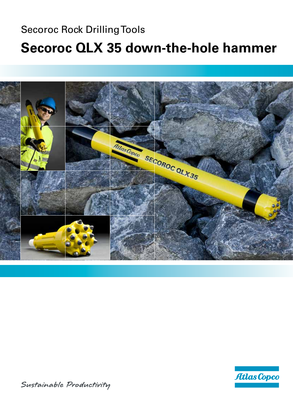### Secoroc Rock Drilling Tools **Secoroc QLX 35 down-the-hole hammer**





Sustainable Productivity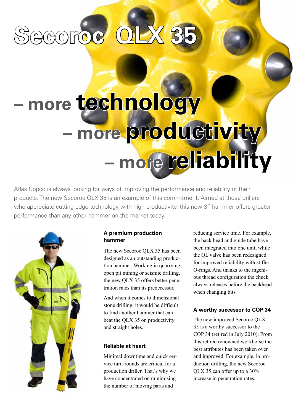# **Secoroc QLX 35**

## **– more technology – more productivity – more reliability**

Atlas Copco is always looking for ways of improving the performance and reliability of their products. The new Secoroc QLX 35 is an example of this commitment. Aimed at those drillers who appreciate cutting edge technology with high productivity, this new 3" hammer offers greater performance than any other hammer on the market today.



#### **A premium production hammer**

The new Secoroc QLX 35 has been designed as an outstanding production hammer. Working in quarrying, open pit mining or seismic drilling, the new QLX 35 offers better penetration rates than its predecessor.

And when it comes to dimensional stone drilling, it would be difficult to find another hammer that can beat the QLX 35 on productivity and straight holes.

#### **Reliable at heart**

Minimal downtime and quick service turn-rounds are critical for a production driller. That's why we have concentrated on minimising the number of moving parts and

reducing service time. For example, the back head and guide tube have been integrated into one unit, while the QL valve has been redesigned for improved reliability with stiffer O-rings. And thanks to the ingenious thread configuration the chuck always releases before the backhead when changing bits.

#### **A worthy successor to COP 34**

The new improved Secoroc QLX 35 is a worthy successor to the COP 34 (retired in July 2010). From this retired renowned workhorse the best attributes has been taken over and improved. For example, in production drilling, the new Secoroc QLX 35 can offer up to a 30% increase in penetration rates.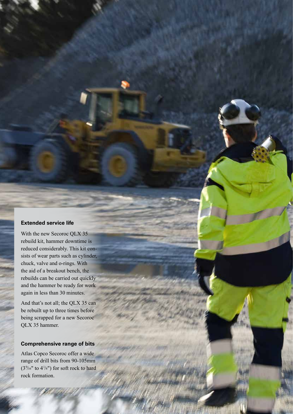#### **Extended service life**

With the new Secoroc QLX 35 rebuild kit, hammer downtime is reduced considerably. This kit consists of wear parts such as cylinder, chuck, valve and o-rings. With the aid of a breakout bench, the rebuilds can be carried out quickly and the hammer be ready for work again in less than 30 minutes.

And that's not all; the QLX 35 can be rebuilt up to three times before being scrapped for a new Secoroc QLX 35 hammer.

#### **Comprehensive range of bits**

Atlas Copco Secoroc offer a wide range of drill bits from 90-105mm  $(3\%6"$  to  $4\frac{1}{8}"$  for soft rock to hard rock formation.